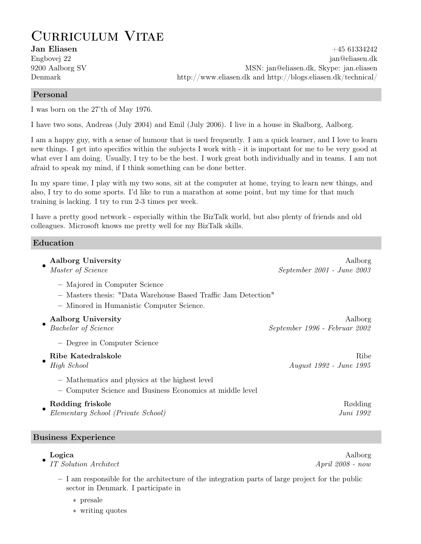# Curriculum Vitae

Jan Eliasen +45 61334242 Engbovej 22 jan @eliasen.dk 9200 Aalborg SV MSN: jan@eliasen.dk, Skype: jan.eliasen Denmark http://www.eliasen.dk and http://blogs.eliasen.dk/technical/

### Personal

I was born on the 27'th of May 1976.

I have two sons, Andreas (July 2004) and Emil (July 2006). I live in a house in Skalborg, Aalborg.

I am a happy guy, with a sense of humour that is used frequently. I am a quick learner, and I love to learn new things. I get into specifics within the subjects I work with - it is important for me to be very good at what ever I am doing. Usually, I try to be the best. I work great both individually and in teams. I am not afraid to speak my mind, if I think something can be done better.

In my spare time, I play with my two sons, sit at the computer at home, trying to learn new things, and also, I try to do some sports. I'd like to run a marathon at some point, but my time for that much training is lacking. I try to run 2-3 times per week.

I have a pretty good network - especially within the BizTalk world, but also plenty of friends and old colleagues. Microsoft knows me pretty well for my BizTalk skills.

#### Education

| Aalborg University                                                                                                                           | Aalborg                       |
|----------------------------------------------------------------------------------------------------------------------------------------------|-------------------------------|
| Master of Science                                                                                                                            | September 2001 - June 2003    |
| - Majored in Computer Science<br>- Masters thesis: "Data Warehouse Based Traffic Jam Detection"<br>- Minored in Humanistic Computer Science. |                               |
| <b>Aalborg University</b>                                                                                                                    | Aalborg                       |
| <b>Bachelor</b> of Science                                                                                                                   | September 1996 - Februar 2002 |
| - Degree in Computer Science                                                                                                                 |                               |
| Ribe Katedralskole                                                                                                                           | Ribe                          |
| High School                                                                                                                                  | August 1992 - June 1995       |
| - Mathematics and physics at the highest level<br>- Computer Science and Business Economics at middle level                                  |                               |
| Rødding friskole                                                                                                                             | Rødding                       |
| Elementary School (Private School)                                                                                                           | Juni 1992                     |

#### Business Experience

## •

IT Solution Architect  $\Delta p$  and  $\Delta p$  and  $\Delta p$  and  $\Delta p$  and  $\Delta p$  and  $\Delta p$  and  $\Delta p$  and  $\Delta p$  and  $\Delta p$  and  $\Delta p$  and  $\Delta p$  and  $\Delta p$  and  $\Delta p$  and  $\Delta p$  and  $\Delta p$  and  $\Delta p$  and  $\Delta p$  and  $\Delta p$  and  $\Delta p$  and  $\Delta p$  and

- I am responsible for the architecture of the integration parts of large project for the public sector in Denmark. I participate in
	- ∗ presale
	- ∗ writing quotes

Logica Aalborg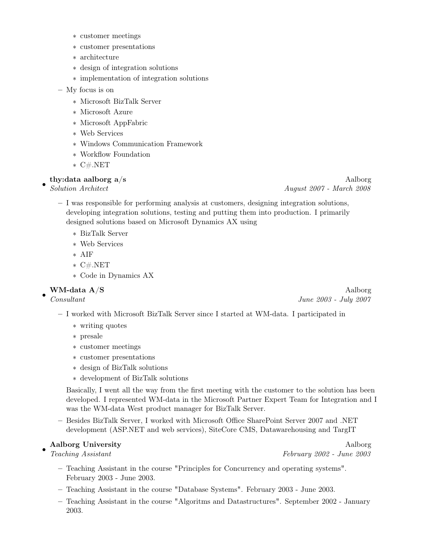- ∗ customer meetings
- ∗ customer presentations
- ∗ architecture
- ∗ design of integration solutions
- ∗ implementation of integration solutions
- My focus is on
	- ∗ Microsoft BizTalk Server
	- ∗ Microsoft Azure
	- ∗ Microsoft AppFabric
	- ∗ Web Services
	- ∗ Windows Communication Framework
	- ∗ Workflow Foundation
	- ∗ C#.NET

#### thy:data aalborg a/s Aalborg and Annual Media and Annual Media and Aalborg and Annual Media and Annual Media and A

•

- I was responsible for performing analysis at customers, designing integration solutions, developing integration solutions, testing and putting them into production. I primarily designed solutions based on Microsoft Dynamics AX using
	- ∗ BizTalk Server
	- ∗ Web Services
	- ∗ AIF
	- ∗ C#.NET
	- ∗ Code in Dynamics AX

•

- I worked with Microsoft BizTalk Server since I started at WM-data. I participated in
	- ∗ writing quotes
	- ∗ presale
	- ∗ customer meetings
	- ∗ customer presentations
	- ∗ design of BizTalk solutions
	- ∗ development of BizTalk solutions

Basically, I went all the way from the first meeting with the customer to the solution has been developed. I represented WM-data in the Microsoft Partner Expert Team for Integration and I was the WM-data West product manager for BizTalk Server.

– Besides BizTalk Server, I worked with Microsoft Office SharePoint Server 2007 and .NET development (ASP.NET and web services), SiteCore CMS, Datawarehousing and TargIT

#### • Aalborg University Aalborg Aalborg Aalborg Aalborg Aalborg Aalborg Aalborg Aalborg Aalborg Aalborg A

Teaching Assistant February 2002 - June 2003

- Teaching Assistant in the course "Principles for Concurrency and operating systems". February 2003 - June 2003.
- Teaching Assistant in the course "Database Systems". February 2003 June 2003.
- Teaching Assistant in the course "Algoritms and Datastructures". September 2002 January 2003.

Solution Architect August 2007 - March 2008

WM-data A/S Aalborg Consultant June 2003 - July 2007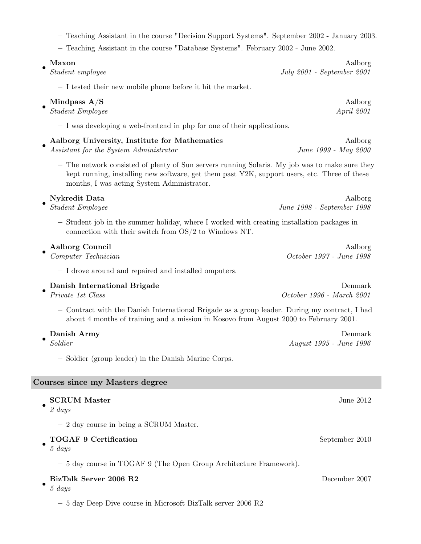| - Teaching Assistant in the course "Decision Support Systems". September 2002 - January 2003.<br>- Teaching Assistant in the course "Database Systems". February 2002 - June 2002.                                                           |                                       |
|----------------------------------------------------------------------------------------------------------------------------------------------------------------------------------------------------------------------------------------------|---------------------------------------|
| Maxon<br>Student employee                                                                                                                                                                                                                    | Aalborg<br>July 2001 - September 2001 |
| - I tested their new mobile phone before it hit the market.                                                                                                                                                                                  |                                       |
| Mindpass $A/S$<br><b>Student Employee</b>                                                                                                                                                                                                    | Aalborg<br><i>April</i> 2001          |
| - I was developing a web-frontend in php for one of their applications.                                                                                                                                                                      |                                       |
| Aalborg University, Institute for Mathematics<br>Assistant for the System Administrator                                                                                                                                                      | Aalborg<br>June 1999 - May 2000       |
| - The network consisted of plenty of Sun servers running Solaris. My job was to make sure they<br>kept running, installing new software, get them past Y2K, support users, etc. Three of these<br>months, I was acting System Administrator. |                                       |
| Nykredit Data<br><b>Student Employee</b>                                                                                                                                                                                                     | Aalborg<br>June 1998 - September 1998 |
| - Student job in the summer holiday, where I worked with creating installation packages in<br>connection with their switch from $OS/2$ to Windows NT.                                                                                        |                                       |
| Aalborg Council<br>Computer Technician                                                                                                                                                                                                       | Aalborg<br>October 1997 - June 1998   |
| - I drove around and repaired and installed omputers.                                                                                                                                                                                        |                                       |
| Danish International Brigade<br>Private 1st Class                                                                                                                                                                                            | Denmark<br>October 1996 - March 2001  |
| - Contract with the Danish International Brigade as a group leader. During my contract, I had<br>about 4 months of training and a mission in Kosovo from August 2000 to February 2001.                                                       |                                       |
| Danish Army<br>Soldier                                                                                                                                                                                                                       | Denmark<br>August 1995 - June 1996    |
| - Soldier (group leader) in the Danish Marine Corps.                                                                                                                                                                                         |                                       |
| Courses since my Masters degree                                                                                                                                                                                                              |                                       |
| <b>SCRUM Master</b><br>$2 \; days$                                                                                                                                                                                                           | June 2012                             |
| $-2$ day course in being a SCRUM Master.                                                                                                                                                                                                     |                                       |
| <b>TOGAF 9 Certification</b><br>$5 \; days$                                                                                                                                                                                                  | September 2010                        |
| - 5 day course in TOGAF 9 (The Open Group Architecture Framework).                                                                                                                                                                           |                                       |
| BizTalk Server 2006 R2                                                                                                                                                                                                                       | December 2007                         |

• 5 days

 $-$  5 day Deep Dive course in Microsoft BizTalk server 2006  $\rm R2$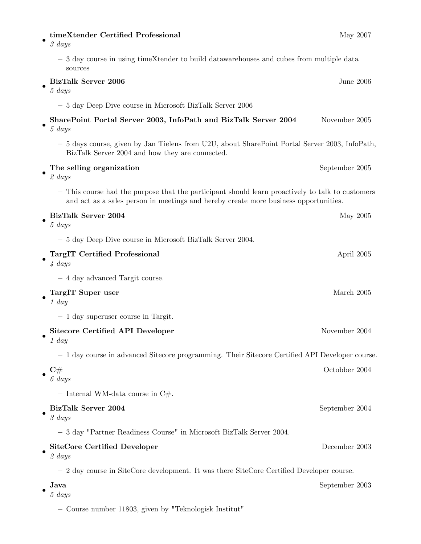| timeXtender Certified Professional<br>3 days                                                                                                                                             | May 2007       |
|------------------------------------------------------------------------------------------------------------------------------------------------------------------------------------------|----------------|
| - 3 day course in using timeXtender to build datawarehouses and cubes from multiple data<br>sources                                                                                      |                |
| <b>BizTalk Server 2006</b><br>5 days                                                                                                                                                     | June 2006      |
| - 5 day Deep Dive course in Microsoft BizTalk Server 2006                                                                                                                                |                |
| SharePoint Portal Server 2003, InfoPath and BizTalk Server 2004<br>$5 \; days$                                                                                                           | November 2005  |
| - 5 days course, given by Jan Tielens from U2U, about SharePoint Portal Server 2003, InfoPath,<br>BizTalk Server 2004 and how they are connected.                                        |                |
| The selling organization<br>$2 \; days$                                                                                                                                                  | September 2005 |
| - This course had the purpose that the participant should learn proactively to talk to customers<br>and act as a sales person in meetings and hereby create more business opportunities. |                |
| BizTalk Server 2004<br>$5 \; days$                                                                                                                                                       | May 2005       |
| - 5 day Deep Dive course in Microsoft BizTalk Server 2004.                                                                                                                               |                |
| <b>TargIT Certified Professional</b><br>$4 \ days$                                                                                                                                       | April 2005     |
| - 4 day advanced Targit course.                                                                                                                                                          |                |
| TargIT Super user<br>$1$ day                                                                                                                                                             | March 2005     |
| $-1$ day superuser course in Targit.                                                                                                                                                     |                |
| Sitecore Certified API Developer<br>$1 \; day$                                                                                                                                           | November 2004  |
| - 1 day course in advanced Sitecore programming. Their Sitecore Certified API Developer course.                                                                                          |                |
| $\mathrm{C}\#$<br>$6 \; days$                                                                                                                                                            | Octobber 2004  |
| - Internal WM-data course in $C#$ .                                                                                                                                                      |                |
| BizTalk Server 2004<br>3 days                                                                                                                                                            | September 2004 |
| - 3 day "Partner Readiness Course" in Microsoft BizTalk Server 2004.                                                                                                                     |                |
| <b>SiteCore Certified Developer</b><br>$2 \; days$                                                                                                                                       | December 2003  |
| $-2$ day course in SiteCore development. It was there SiteCore Certified Developer course.                                                                                               |                |
| Java<br>5 days                                                                                                                                                                           | September 2003 |
| - Course number 11803, given by "Teknologisk Institut"                                                                                                                                   |                |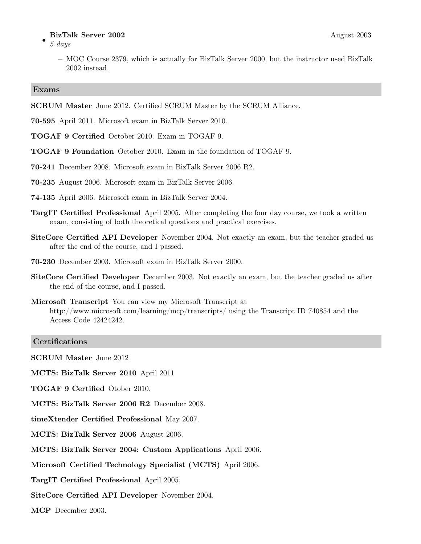#### BizTalk Server 2002 August 2003

- 5 days
	- MOC Course 2379, which is actually for BizTalk Server 2000, but the instructor used BizTalk 2002 instead.

#### Exams

- SCRUM Master June 2012. Certified SCRUM Master by the SCRUM Alliance.
- 70-595 April 2011. Microsoft exam in BizTalk Server 2010.
- TOGAF 9 Certified October 2010. Exam in TOGAF 9.
- TOGAF 9 Foundation October 2010. Exam in the foundation of TOGAF 9.
- 70-241 December 2008. Microsoft exam in BizTalk Server 2006 R2.
- 70-235 August 2006. Microsoft exam in BizTalk Server 2006.
- 74-135 April 2006. Microsoft exam in BizTalk Server 2004.
- TargIT Certified Professional April 2005. After completing the four day course, we took a written exam, consisting of both theoretical questions and practical exercises.
- SiteCore Certified API Developer November 2004. Not exactly an exam, but the teacher graded us after the end of the course, and I passed.
- 70-230 December 2003. Microsoft exam in BizTalk Server 2000.
- SiteCore Certified Developer December 2003. Not exactly an exam, but the teacher graded us after the end of the course, and I passed.
- Microsoft Transcript You can view my Microsoft Transcript at http://www.microsoft.com/learning/mcp/transcripts/ using the Transcript ID 740854 and the Access Code 42424242.

#### **Certifications**

SCRUM Master June 2012

MCTS: BizTalk Server 2010 April 2011

TOGAF 9 Certified Otober 2010.

MCTS: BizTalk Server 2006 R2 December 2008.

timeXtender Certified Professional May 2007.

MCTS: BizTalk Server 2006 August 2006.

MCTS: BizTalk Server 2004: Custom Applications April 2006.

Microsoft Certified Technology Specialist (MCTS) April 2006.

TargIT Certified Professional April 2005.

SiteCore Certified API Developer November 2004.

MCP December 2003.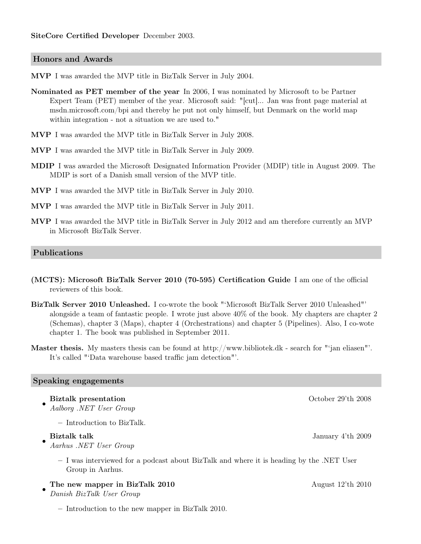#### Honors and Awards

MVP I was awarded the MVP title in BizTalk Server in July 2004.

- Nominated as PET member of the year In 2006, I was nominated by Microsoft to be Partner Expert Team (PET) member of the year. Microsoft said: "[cut]... Jan was front page material at msdn.microsoft.com/bpi and thereby he put not only himself, but Denmark on the world map within integration - not a situation we are used to."
- MVP I was awarded the MVP title in BizTalk Server in July 2008.
- MVP I was awarded the MVP title in BizTalk Server in July 2009.
- MDIP I was awarded the Microsoft Designated Information Provider (MDIP) title in August 2009. The MDIP is sort of a Danish small version of the MVP title.
- MVP I was awarded the MVP title in BizTalk Server in July 2010.
- MVP I was awarded the MVP title in BizTalk Server in July 2011.
- MVP I was awarded the MVP title in BizTalk Server in July 2012 and am therefore currently an MVP in Microsoft BizTalk Server.

#### Publications

- (MCTS): Microsoft BizTalk Server 2010 (70-595) Certification Guide I am one of the official reviewers of this book.
- BizTalk Server 2010 Unleashed. I co-wrote the book "'Microsoft BizTalk Server 2010 Unleashed"' alongside a team of fantastic people. I wrote just above 40% of the book. My chapters are chapter 2 (Schemas), chapter 3 (Maps), chapter 4 (Orchestrations) and chapter 5 (Pipelines). Also, I co-wote chapter 1. The book was published in September 2011.
- Master thesis. My masters thesis can be found at http://www.bibliotek.dk search for "'jan eliasen"'. It's called "'Data warehouse based traffic jam detection"'.

#### Speaking engagements

• Biztalk presentation October 29'th 2008 Aalborg .NET User Group

– Introduction to BizTalk.

## •

Aarhus .NET User Group

– I was interviewed for a podcast about BizTalk and where it is heading by the .NET User Group in Aarhus.

#### The new mapper in BizTalk 2010 August 12'th 2010

• Danish BizTalk User Group

– Introduction to the new mapper in BizTalk 2010.

Biztalk talk January 4'th 2009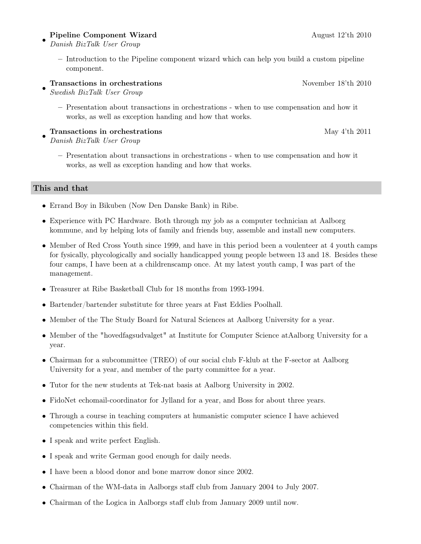#### • Pipeline Component Wizard August 12'th 2010

- Danish BizTalk User Group
	- Introduction to the Pipeline component wizard which can help you build a custom pipeline component.

#### • Transactions in orchestrations **November 18'th 2010**

- Swedish BizTalk User Group
	- Presentation about transactions in orchestrations when to use compensation and how it works, as well as exception handing and how that works.

#### Transactions in orchestrations May 4'th 2011

- Danish BizTalk User Group
	- Presentation about transactions in orchestrations when to use compensation and how it works, as well as exception handing and how that works.

#### This and that

- Errand Boy in Bikuben (Now Den Danske Bank) in Ribe.
- Experience with PC Hardware. Both through my job as a computer technician at Aalborg kommune, and by helping lots of family and friends buy, assemble and install new computers.
- Member of Red Cross Youth since 1999, and have in this period been a voulenteer at 4 youth camps for fysically, phycologically and socially handicapped young people between 13 and 18. Besides these four camps, I have been at a childrenscamp once. At my latest youth camp, I was part of the management.
- Treasurer at Ribe Basketball Club for 18 months from 1993-1994.
- Bartender/bartender substitute for three years at Fast Eddies Poolhall.
- Member of the The Study Board for Natural Sciences at Aalborg University for a year.
- Member of the "hovedfagsudvalget" at Institute for Computer Science atAalborg University for a year.
- Chairman for a subcommittee (TREO) of our social club F-klub at the F-sector at Aalborg University for a year, and member of the party committee for a year.
- Tutor for the new students at Tek-nat basis at Aalborg University in 2002.
- FidoNet echomail-coordinator for Jylland for a year, and Boss for about three years.
- Through a course in teaching computers at humanistic computer science I have achieved competencies within this field.
- I speak and write perfect English.
- I speak and write German good enough for daily needs.
- I have been a blood donor and bone marrow donor since 2002.
- Chairman of the WM-data in Aalborgs staff club from January 2004 to July 2007.
- Chairman of the Logica in Aalborgs staff club from January 2009 until now.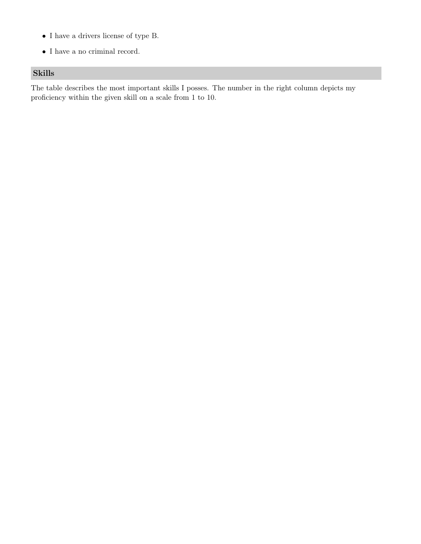- $\bullet\,$  I have a drivers license of type B.
- $\bullet\,$  I have a no criminal record.

## Skills

The table describes the most important skills I posses. The number in the right column depicts my proficiency within the given skill on a scale from 1 to 10.